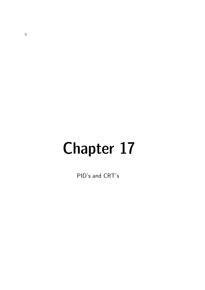# Chapter 17

PID's and CRT's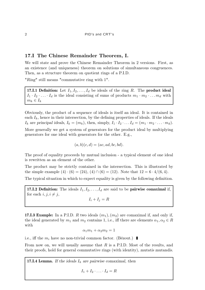# 17.I The Chinese Remainder Theorem, I.

We will state and prove the Chinese Remainder Theorem in 2 versions. First, as an existence (and uniqueness) theorem on solutions of simultaneous congruences. Then, as a structure theorem on quotient rings of a P.I.D.

"Ring" still means "commutative ring with 1".

17.I.1 Definition: Let  $I_1, I_2, \ldots, I_d$  be ideals of the ring R. The product ideal  $I_1 \cdot I_2 \cdot \ldots \cdot I_d$  is the ideal consisting of sums of products  $m_1 \cdot m_2 \cdot \ldots m_d$  with  $m_k \in I_k$ 

Obviously, the product of a sequence of ideals is itself an ideal. It is contained in each  $I_k$ , hence in their intersection, by the defining properties of ideals. If the ideals  $I_k$  are principal ideals,  $I_k = (m_k)$ , then, simply,  $I_1 \cdot I_2 \cdot \ldots I_d = (m_1 \cdot m_2 \cdot \ldots \cdot m_d)$ .

More generally we get a system of generators for the product ideal by multiplying generators for one ideal with generators for the other. E.g.,

$$
(a, b)(c, d) = (ac, ad, bc, bd).
$$

The proof of equality proceeds by mutual inclusion - a typical element of one ideal is rewritten as an element of the other.

The product may be strictly contained in the intersection. This is illustrated by the simple example  $(4) \cdot (6) = (24)$ ,  $(4) \cap (6) = (12)$ . Note that  $12 = 6 \cdot 4/(6, 4)$ .

The typical situation in which to expect equality is given by the following definition.

17.I.2 Definition: The ideals  $I_1, I_2, \ldots, I_d$  are said to be pairwise comaximal if, for each  $i, j, i \neq j$ ,

 $I_i + I_j = R$ 

**17.I.3 Example:** In a P.I.D. R two ideals  $(m_1), (m_2)$  are comaximal if, and only if, the ideal generated by  $m_1$  and  $m_2$  contains 1, i.e., iff there are elements  $\alpha_1, \alpha_2 \in R$ with

$$
\alpha_1 m_1 + \alpha_2 m_2 = 1
$$

i.e., iff the  $m_i$  have no non-trivial common factor. (Bézout.)

From now on, we will usually assume that  $R$  is a P.I.D. Most of the results, and their proofs, hold for general commutative rings (with identity), mutatis mutandis.

**17.I.4 Lemma.** If the ideals  $I_k$  are pairwise comaximal, then

 $I_1 + I_2 \cdot \ldots \cdot I_d = R$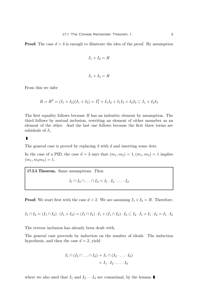**Proof:** The case  $d = 3$  is enough to illustrate the idea of the proof. By assumption

$$
I_1 + I_2 = R
$$

$$
I_1 + I_3 = R
$$

From this we infer

$$
R = R2 = (I1 + I2)(I1 + I3) = I12 + I1I2 + I1I3 + I2I3 \subset I1 + I2I3
$$

The first equality follows because  $R$  has an indentity element by assumption. The third follows by mutual inclusion, rewriting an element of either memeber as an element of the other. And the last one follows because the first three terms are subideals of  $I_1$ 

 $\blacksquare$ 

The general case is proved by replacing 3 with d and inserting some dots.

In the case of a PID, the case  $d = 3$  says that  $(m_1, m_2) = 1, (m_1, m_3) = 1$  implies  $(m_1, m_2m_3) = 1.$ 

17.I.5 Theorem. Same assumptions. Then

$$
I_1 \cap I_2 \cap \ldots \cap I_d = I_1 \cdot I_2 \cdot \ldots \cdot I_d
$$

**Proof:** We start first with the case  $d = 2$ . We are assuming  $I_1 + I_2 = R$ . Therefore:

$$
I_1 \cap I_2 = (I_1 \cap I_2) \cdot (I_1 + I_2) = (I_1 \cap I_2) \cdot I_1 + (I_1 \cap I_2) \cdot I_2 \subset I_2 \cdot I_1 + I_1 \cdot I_2 = I_1 \cdot I_2
$$

The reverse inclusion has already been dealt with.

The general case proceeds by induction on the number of ideals. The induction hypothesis, and then the case  $d = 2$ , yield

$$
I_1 \cap (I_2 \cap \ldots \cap I_d) = I_1 \cap (I_2 \cdot \ldots \cdot I_d)
$$

$$
= I_1 \cdot I_2 \cdot \ldots \cdot I_d
$$

where we also used that  $I_1$  and  $I_2 \cdots I_d$  are comaximal, by the lemma.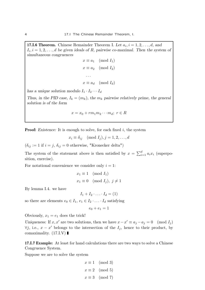**17.I.6 Theorem.** Chinese Remainder Theorem I. Let  $a_i$ ,  $i = 1, 2, \ldots, d$ , and  $I_i, i = 1, 2, \ldots, d$  be given ideals of R, pairwise co-maximal. Then the system of simultaneous congruences

$$
x \equiv a_1 \pmod{I_1}
$$

$$
x \equiv a_2 \pmod{I_2}
$$

$$
\cdots
$$

$$
x \equiv a_d \pmod{I_d}
$$

has a unique solution modulo  $I_1 \cdot I_2 \cdots I_d$ 

Thus, in the PID case,  $I_k = (m_k)$ , the  $m_k$  pairwise relatively prime, the general solution is of the form

$$
x = x_0 + rm_1m_2\cdots m_d; \ r \in R
$$

**Proof:** Existence: It is enough to solve, for each fixed  $i$ , the system

 $x_i \equiv \delta_{ij} \pmod{I_i}, j = 1, 2, \ldots, d$ 

 $(\delta_{ij} := 1 \text{ if } i = j, \delta_{ij} = 0 \text{ otherwise}, \text{ "Kronecker delta")}$ 

The system of the statement above is then satisfied by  $x = \sum_{i=1}^{d} a_i x_i$  (superposition, exercise).

For notational convenience we consider only  $i = 1$ :

$$
x_1 \equiv 1 \pmod{I_1}
$$
  

$$
x_1 \equiv 0 \pmod{I_j}, \ j \neq 1
$$

By lemma I.4. we have

$$
I_1 + I_2 \cdot \ldots \cdot I_d = (1)
$$

so there are elements  $e_0 \in I_1, e_1 \in I_2 \cdot \ldots \cdot I_d$  satisfying

$$
e_0 + e_1 = 1
$$

Obviously,  $x_1 = e_1$  does the trick!

Uniqueness: If x, x' are two solutions, then we have  $x - x' \equiv a_j - a_j = 0 \pmod{I_j}$  $\forall j$ , i.e.,  $x - x'$  belongs to the intersection of the  $I_j$ , hence to their product, by comaximality.  $(17.I.V)$ 

17.I.7 Example: At least for hand calculations there are two ways to solve a Chinese Congruence System.

Suppose we are to solve the system

$$
x \equiv 1 \pmod{3}
$$

$$
x \equiv 2 \pmod{5}
$$

$$
x \equiv 3 \pmod{7}
$$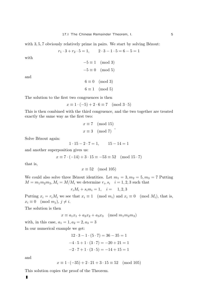with  $3, 5, 7$  obviously relatively prime in pairs. We start by solving Bézout:

 $r_1 \cdot 3 + r_2 \cdot 5 = 1,$   $2 \cdot 3 - 1 \cdot 5 = 6 - 5 = 1$ 

with

$$
-5 \equiv 1 \pmod{3}
$$

$$
-5 \equiv 0 \pmod{5}
$$

and

 $6 \equiv 0 \pmod{3}$  $6 \equiv 1 \pmod{5}$ 

The solution to the first two congruences is then

$$
x \equiv 1 \cdot (-5) + 2 \cdot 6 \equiv 7 \pmod{3 \cdot 5}
$$

This is then combined with the third congruence, and the two together are treated exactly the same way as the first two:

$$
x \equiv 7 \pmod{15}
$$
  

$$
x \equiv 3 \pmod{7}
$$
,

Solve Bézout again:

 $1 \cdot 15 - 2 \cdot 7 = 1, \qquad 15 - 14 = 1$ 

and another superposition gives us:

 $x \equiv 7 \cdot (-14) + 3 \cdot 15 \equiv -53 \equiv 52 \pmod{15 \cdot 7}$ 

that is,

 $x \equiv 52 \pmod{105}$ 

We could also solve three Bézout identities. Let  $m_1 = 3, m_2 = 5, m_3 = 7$  Putting  $M = m_1 m_2 m_3, M_i = M/M_i$  we determine  $r_i, s_i \quad i = 1, 2, 3$  such that

 $r_i M_i + s_i m_i = 1, \quad i = 1, 2, 3$ 

Putting  $x_i = r_i M_i$  we see that  $x_i \equiv 1 \pmod{m_i}$  and  $x_i \equiv 0 \pmod{M_i}$ , that is,  $x_i \equiv 0 \pmod{m_j}, j \neq i.$ 

The solution is then

 $x \equiv a_1x_1 + a_2x_2 + a_3x_3 \pmod{m_1m_2m_3}$ 

with, in this case,  $a_1 = 1, a_2 = 2, a_3 = 3$ 

In our numerical example we get:

$$
12 \cdot 3 - 1 \cdot (5 \cdot 7) = 36 - 35 = 1
$$

$$
-4 \cdot 5 + 1 \cdot (3 \cdot 7) = -20 + 21 = 1
$$

$$
-2 \cdot 7 + 1 \cdot (3 \cdot 5) = -14 + 15 = 1
$$

and

$$
x \equiv 1 \cdot (-35) + 2 \cdot 21 + 3 \cdot 15 \equiv 52 \pmod{105}
$$

This solution copies the proof of the Theorem.

 $\blacksquare$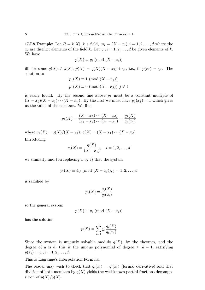**17.I.8 Example:** Let  $R = k[X], k$  a field,  $m_i = (X - x_i), i = 1, 2, ..., d$  where the  $x_i$  are distinct elements of the field k. Let  $y_i$ ,  $i = 1, 2, ..., d$  be given elements of k. We have

$$
p(X) \equiv y_i \pmod{(X - x_i)}
$$

iff, for some  $q(X) \in k[X]$ ,  $p(X) = q(X)(X - x_i) + y_i$ , i.e., iff  $p(x_i) = y_i$ . The solution to

$$
p_1(X) \equiv 1 \pmod{(X - x_1)}
$$
  

$$
p_1(X) \equiv 0 \pmod{(X - x_j)}, j \neq 1
$$

is easily found. By the second line above  $p_1$  must be a constant multiple of  $(X - x_2)(X - x_3) \cdots (X - x_n)$ . By the first we must have  $p_1(x_1) = 1$  which gives us the value of the constant. We find

$$
p_1(X) = \frac{(X - x_2) \cdots (X - x_d)}{(x_1 - x_2) \cdots (x_1 - x_d)} = \frac{q_1(X)}{q_1(x_1)}
$$

where  $q_1(X) = q(X)/(X - x_1); q(X) = (X - x_1) \cdots (X - x_d)$ Introducing

$$
q_i(X) = \frac{q(X)}{(X - x_i)}, \quad i = 1, 2, \dots, d
$$

we similarly find (on replacing 1 by  $i$ ) that the system

$$
p_i(X) \equiv \delta_{ij} \pmod{(X - x_j)}, j = 1, 2, ..., d
$$

is satisfied by

$$
p_i(X) = \frac{q_i(X)}{q_i(x_i)}
$$

so the general system

$$
p(X) \equiv y_i \pmod{(X - x_i)}
$$

has the solution

$$
p(X) = \sum_{i=1}^{d} y_i \frac{q_i(X)}{q_i(x_i)}
$$

Since the system is uniquely solvable modulo  $q(X)$ , by the theorem, and the degree of q is d, this is the unique polynomial of degree  $\leq d-1$ , satisfying  $p(x_i) = y_i, i = 1, 2, \dots, d.$ 

This is Lagrange's Interpolation Formula.

The reader may wish to check that  $q_i(x_i) = q'(x_i)$  (formal derivative) and that division of both members by  $q(X)$  yields the well-known partial fractions decomposition of  $p(X)/q(X)$ .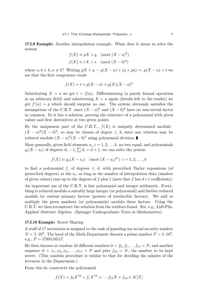17.I.9 Example: Another interpolation example. What does it mean to solve the system

$$
f(X) \equiv pX + q \pmod{(X - a)^{2}}
$$

$$
f(X) \equiv rX + s \pmod{(X - b)^{2}}
$$

where  $a, b \in k, a \neq b$ ? Writing  $pX + q = p(X - a) + (q + pa) =: p(X - a) + t$  we see that the first congruence reads

$$
f(X) = t + p(X - a) + g(X)(X - a)^2
$$

Substituting  $X = a$  we get  $t = f(a)$ . Differentiating (a purely formal operation in an arbitrary field) and substituting  $X = a$  again (details left to the reader) we get  $f'(a) = p$  which should surprise no one. The system obviously satisfies the assumptions of the C.R.T. since  $(X - a)^2$  and  $(X - b)^2$  have no non-trivial factor in common. So it has a solution, proving the existence of a polynomial with given values and first derivatives at two given points.

By the uniqueness part of the C.R.T.,  $f(X)$  is uniquely determined modulo  $(X-a)^2(X-b)^2$ , so may be chosen of degree  $\leq$  3, since any solution may be reduced modulo  $(X - a)^2(X - b)^2$  using polynomial division.

More generally, given field elements  $a_i, i = 1, 2, \ldots k$ , no two equal, and polynomials  $g_i(X - a_i)$  of degrees  $d_i - 1$ ,  $\sum d_i = d + 1$ , we can solve the system

$$
f(X) \equiv g_i(X - a_i) \pmod{(X - a_i)^{d_i}}
$$
  $i = 1, 2, ..., k$ 

to find a polynomial f, of degreee  $\leq d$ , with prescribed Taylor expansions (of prescribed degrees) at the  $a_i$ , as long as the number of interpolation data (number of given values) sum up to the degreee of f plus 1 (note that f has  $d+1$  coefficients).

An important use of the C.R.T. is fast polynomial and integer arithmetic. Everything is reduced modulo a suitably large integer (or polynomial) and further reduced modulo its various primary factors (powers of irreducible factors). We add or multiply the given numbers (or polynomials) modulo these factors. Using the C.R.T. we then reconstruct the solution from the residues found. See, e.g., Lidl-Pilz, Applied Abstract Algebra. (Springer Undergraduate Texts in Mathematics).

#### 17.I.10 Example: Secret Sharing

A staff of 17 secretaries is assigned to the task of guarding my social security number  $N < 5 \cdot 10^9$ . The head of the Math Department chooses a prime number  $P > 5 \cdot 10^9$ , e.g.,  $P = 5789134517$ .

He then chooses at random 16 different numbers  $0 < f_0, f_1, \ldots, f_{15} < P$ , and another sequence  $0 < x_1, x_2, x_3, \ldots, x_{17} < P$  and puts  $f_{16} = N$ , the number to be kept secret. (This random procedure is similar to that for deciding the salaries of the lecturers in the Department.)

From this he constructs the polynomial

$$
f(X) = f_0 X^{16} + f_1 X^{15} + \dots + f_{15} X + f_{16} \in K[X]
$$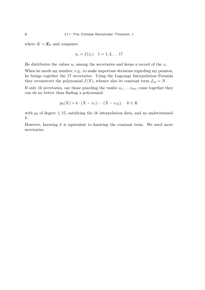where  $K = \mathbb{Z}_P$  and computes

$$
u_i = f(x_i) \quad 1 = 1, 2, \ldots 17
$$

He distributes the values  $u_i$  among the secretaries and keeps a record of the  $x_i$ 

When he needs my number, e.g., to make important decisions regarding my pension, he brings together the 17 secretaries. Using the Lagrange Interpolation Formula they reconstruct the polynomial  $f(X)$ , whence also its constant term  $f_{16} = N$ .

If only 16 secretaries, say those guarding the vaules  $u_1, \ldots u_{16}$ , come together they can do no better than finding a polynomial

$$
p_0(X) + k \cdot (X - x_1) \cdots (X - x_{16}), \quad k \in K
$$

with  $p_0$  of degree  $\leq 15$ , satisfying the 16 interpolation data, and an undetermined k.

However, knowing  $k$  is equivalent to knowing the constant term. We need more secretaries.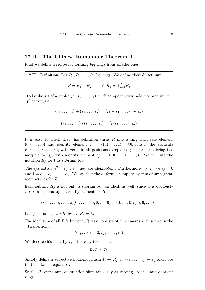### 17.II . The Chinese Remainder Theorem, II.

First we define a recipe for forming big rings from smaller ones.

**17.II.1 Definition:** Let  $R_1, R_2, \ldots, R_d$  be rings. We define their **direct sum**  $R = R_1 \oplus R_2 \oplus \cdots \oplus R_d = \bigoplus_{i=1}^d R_i$ to be the set of d-tuples  $(r_1, r_2, \ldots, r_d)$ , with componentwise addition and multi-

plication, i.e.,

 $(r_1, \ldots, r_d) + (s_1, \ldots, s_d) = (r_1 + s_1, \ldots, r_d + s_d)$ 

$$
(r_1,\ldots,r_d)\cdot (s_1,\ldots,s_d)=(r_1s_1,\ldots,r_d s_d)
$$

It is easy to check that this definition turns  $R$  into a ring with zero element  $(0, 0, \ldots, 0)$  and identity element  $1 = (1, 1, \ldots, 1)$ . Obviously, the elements  $(0, 0, \ldots, r_i, \ldots, 0)$ , with zeros in all positions except the jth, form a subring isomorphic to  $R_j$ , with identity element  $e_j = (0, 0, \ldots, 1, \ldots, 0)$ . We will use the notation  $R_i$  for this subring, too.

The  $e_j$ :s satisfy  $e_j^2 = e_j$ , i.e., they are idempotent. Furthermore  $i \neq j \Rightarrow e_i e_j = 0$ and  $1 = e_1 + e_2 + \cdots + e_d$ . We say that the  $e_j$  form a complete system of orthogonal idempotents for R.

Each subring  $R_j$  is not only a subring but an ideal, as well, since it is obviously closed under multiplication by elements of  $R$ :

$$
(r_1, \ldots, r_j, \ldots, r_d)(0, \ldots, 0, s_j, 0, \ldots, 0) = (0, \ldots, 0, r_j s_j, 0, \ldots, 0)
$$

It is generated, over R, by  $e_j$ ;  $R_j = Re_j$ .

The ideal sum of all  $R_i$ 's but one,  $R_j$  say, consists of all elements with a zero in the j:th position.:

 $(r_1, \ldots r_{i-1}, 0, r_{i+1}, \ldots, r_d)$ 

We denote this ideal by  $I_i$ . It is easy to see that

$$
R/I_j \simeq R_j
$$

Simply define a surjective homomorphism  $R \to R_j$  by  $(r_1, \ldots, r_d) \to r_j$  and note that the kernel equals  $I_i$ .

So the  $R_i$  enter our construction simultaneously as subrings, ideals, and quotient rings.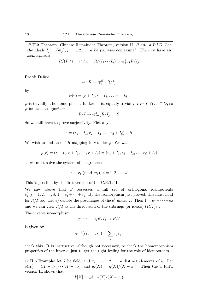17.II.2 Theorem. Chinese Remainder Theorem, version II. R still a P.I.D. Let the ideals  $I_i = (m_i), j = 1, 2, ..., d$  be pairwise comaximal. Then we have an isomorphism

$$
R/(I_1 \cap \ldots \cap I_d) = R/(I_1 \cdots I_d) \simeq \bigoplus_{j=1}^d R/I_j
$$

Proof: Define

$$
\varphi: R \to \oplus_{j=1}^d R/I_j
$$

by

$$
\varphi(r)=(r+I_1,r+I_2,\ldots,r+I_d)
$$

 $\varphi$  is trivially a homomorphism. Its kernel is, equally trivially,  $I := I_1 \cap ... \cap I_d$ , so  $\varphi$  induces an *injection* 

$$
R/I \to \bigoplus_{j=1}^{d} R/I_j =: S
$$

So we still have to prove surjectivity. Pick any

$$
s = (r_1 + I_1, r_2 + I_2, \dots, r_d + I_d) \in S
$$

We wish to find an  $r \in R$  mapping to s under  $\varphi$ . We want

$$
\varphi(r) = (r + I_1, r + I_2, \dots, r + I_d) = (r_1 + I_1, r_2 + I_2, \dots, r_d + I_d)
$$

so we must solve the system of congruences

$$
r \equiv r_i \pmod{m_i}, \ i = 1, 2, \dots, d
$$

This is possible by the first version of the C.R.T.  $\blacksquare$ 

We saw above that  $S$  possesses a full set of orthogonal idempotents  $e'_{\eta}$  $j', j = 1, 2, \ldots, d, 1 = e'_1 + \cdots + e'_d$  $d_{d}$ . By the isomorphism just proved, this must hold for  $R/I$  too. Let  $e_j$  denote the pre-images of the  $e'_j$  under  $\varphi$ . Then  $1 = e_1 + \cdots + e_d$ and we can view  $R/I$  as the direct sum of the subrings (or ideals)  $(R/I)e_i$ . The inverse isomorphism

 $\varphi^{-1}: \quad \oplus_j R/I_j \to R/I$ 

is given by

$$
\varphi^{-1}(r_1,\ldots,r_d)=\sum_j r_j e_j,
$$

check this. It is instructive, although not necessary, to check the homomorphism properties of the inverse, just to get the right feeling for the role of idempotents.

**17.II.3 Example:** let k be field, and  $x_i$ ,  $i = 1, 2, ..., d$  distinct elements of k. Let  $q(X) = (X - x_1) \cdots (X - x_d)$ , and  $q_i(X) = q(X)/(X - x_i)$ . Then the C.R.T., version II, shows that

$$
k[X] \simeq \bigoplus_{i=1}^{d} k[X]/(X - x_i)
$$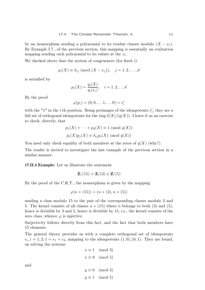by an isomorphism sending a polynomial to its residue classes modulo  $(X - x_i)$ . By Example I.7., of the previous section, this mapping is essentially an evaluation mapping sending each polynomial to its values at the  $x_i$ .

We checked above that the system of congruences (for fixed  $i$ ):

$$
p_i(X) \equiv \delta_{ij} \pmod{(X - x_j)}, \quad j = 1, 2, \dots, d
$$

is satisified by

$$
p_i(X) = \frac{q_i(X)}{q_i(x_i)}, \quad i = 1, 2, \dots d
$$

By the proof

$$
\varphi(p_i)=(0,0,\ldots 1,\ldots 0)=e'_i
$$

with the "1" in the *i*:th position. Being preimages of the idempotents  $e'_{i}$  $'_{i}$ , they are a full set of orthogonal idempotents for the ring  $k[X]/(q(X))$ . I leave it as an exercise to check, directly, that

$$
p_1(X) + \cdots + p_d(X) \equiv 1 \pmod{q(X)}
$$
  

$$
p_i(X)p_j(X) \equiv \delta_{ij}p_i(X) \pmod{q(X)}
$$

You need only check equality of both members at the zeros of  $q(X)$  (why?).

The reader is invited to investigate the last example of the previous section in a similar manner.

17.II.4 Example: Let us illustrate the statement

$$
\mathbf{Z}/(15) \simeq \mathbf{Z}/(3) \oplus \mathbf{Z}/(5)
$$

By the proof of the C.R.T., the isomorphism is given by the mapping

$$
\varphi(n + (15)) = (n + (3), n + (5))
$$

sending a class modulo 15 to the pair of the corresponding classes modulo 3 and 5. The kernel consists of all classes  $n + (15)$  where n belongs to both (3) and (5), hence is divisible by 3 and 5, hence is divisible by 15, i.e., the kernel consists of the zero class, whence  $\varphi$  is injective.

Surjectivity follows directly from this fact, and the fact that both members have 15 elements.

The general theory provides us with a complete orthogonal set of idempotents  $e_i, i = 1, 2; 1 = e_1 + e_2$ , mapping to the idempotents  $(1, 0), (0, 1)$ . They are found, on solving the systems

$$
x \equiv 1 \pmod{3}
$$

$$
x \equiv 0 \pmod{5}
$$

and

$$
y \equiv 0 \pmod{3}
$$

$$
y \equiv 1 \pmod{5}
$$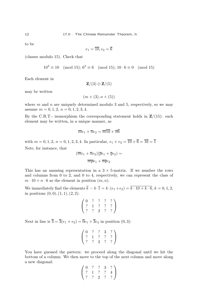to be

$$
e_1 = \overline{10}, e_2 = \overline{6}
$$

(classes modulo 15). Check that

 $10^2 \equiv 10 \pmod{15}$ ;  $6^2 \equiv 6 \pmod{15}$ ;  $10 \cdot 6 \equiv 0 \pmod{15}$ 

Each element in

$$
\mathbf{Z}/(3)\oplus\mathbf{Z}/(5)
$$

may be written

$$
(m+(3),n+(5))
$$

where  $m$  and  $n$  are uniquely determined modulo 3 and 5, respectively, so we may assume  $m = 0, 1, 2, n = 0, 1, 2, 3, 4.$ 

By the C.R.T.- isomorphism the corresponding statement holds in  $\mathbb{Z}/(15)$ : each element may be written, in a unique manner, as

$$
\overline{m}e_1 + \overline{n}e_2 = \overline{m}\overline{10} + \overline{n}\overline{6}
$$

with  $m = 0, 1, 2, n = 0, 1, 2, 3, 4$ . In particular,  $e_1 + e_2 = \overline{10} + \overline{6} = \overline{16} = \overline{1}$ Note, for instance, that

$$
(\overline{m}e_1 + \overline{n}e_2)(\overline{p}e_1 + \overline{q}e_2) =
$$

$$
\overline{m}\overline{p}e_1 + \overline{n}\overline{q}e_2
$$

This has an amusing representation in a  $3 \times 5$ -matrix. If we number the rows and columns from 0 to 2, and 0 to 4, respectively, we can represent the class of  $m \cdot 10 + n \cdot 6$  as the element in position  $(m, n)$ .

We immediately find the elements  $\overline{k} = k \cdot \overline{1} = k \cdot (e_1 + e_2) = \overline{k \cdot 10 + k \cdot 6}, k = 0, 1, 2,$ in positions  $(0, 0), (1, 1), (2, 2)$ :

$$
\left(\begin{array}{cccc} 0 & ? & ? & ? & ? \\ ? & 1 & ? & ? & ? \\ ? & ? & 2 & ? & ? \end{array}\right)
$$

Next in line is  $\overline{3} = \overline{3}(e_1 + e_2) = \overline{0}e_1 + \overline{3}e_2$  in position  $(0, 3)$ :

$$
\left(\begin{array}{cccc} 0 & ? & ? & 3 & ? \\ ? & 1 & ? & ? & ? \\ ? & ? & 2 & ? & ? \end{array}\right)
$$

You have guessed the pattern: we proceed along the diagonal until we hit the bottom of a column. We then move to the top of the next column and move along a new diagonal:

$$
\left(\begin{array}{cccc} 0 & ? & ? & 3 & ? \\ ? & 1 & ? & ? & 4 \\ ? & ? & 2 & ? & ? \end{array}\right)
$$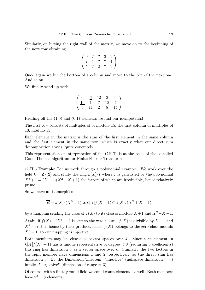Similarly, on hitting the right wall of the matrix, we move on to the beginning of the next row obtaining

$$
\left(\begin{array}{cccc} 0 & ? & ? & 3 & ? \\ ? & 1 & ? & ? & 4 \\ 5 & ? & 2 & ? & ? \end{array}\right)
$$

Once again we hit the bottom of a column and move to the top of the next one. And so on.

We finally wind up with

$$
\left(\begin{array}{cccc}\n0 & \underline{6} & 12 & 3 & 9 \\
\underline{10} & 1 & 7 & 13 & 4 \\
5 & 11 & 2 & 8 & 14\n\end{array}\right)
$$

Reading off the  $(1,0)$  and  $(0,1)$  elements we find our idempotents!

The first row consists of multiples of 6, modulo 15, the first column of multiples of 10, modulo 15.

Each element in the matrix is the sum of the first element in the same column and the first element in the same row, which is exactly what our direct sum decomposition states, quite concretely.

This representation or interpretation of the C.R.T. is at the basis of the so-called Good-Thomas algorithm for Finite Fourier Transforms.

17.II.5 Example: Let us work through a polynomial example. We work over the field  $k = \mathbf{Z}/(2)$  and study the ring  $k[X]/I$  where I is generated by the polynomial  $X^3 + 1 = (X + 1)(X^2 + X + 1)$  the factors of which are irreducible, hence relatively prime.

So we have an isomorphism

$$
\overline{R} = k[X]/(X^3 + 1) \simeq k[X]/(X + 1) \oplus k[X]/(X^2 + X + 1)
$$

by a mapping sending the class of  $f(X)$  to its classes modulo  $X + 1$  and  $X^2 + X + 1$ .

Again, if  $f(X) + (X^3 + 1)$  is sent to the zero classes,  $f(X)$  is divisible by  $X + 1$  and  $X^2 + X + 1$ , hence by their product, hence  $f(X)$  belongs to the zero class modulo  $X^3 + 1$ , so our mapping is injective.

Both members may be viewed as vector spaces over  $k$ . Since each element in  $k[X]/(X^3 + 1)$  has a unique representative of degree  $\lt 3$  (requiring 3 coefficients) this ring has dimension 3 as a vector space over  $k$ . Similarly the two factors in the right member have dimensions 1 and 2, respectively, so the direct sum has dimension 3. By the Dimension Theorem, "injective" (nullspace dimension  $= 0$ ) implies "surjective" (dimension of range  $= 3$ ).

Of course, with a finite ground field we could count elements as well. Both members have  $2^3 = 8$  elements.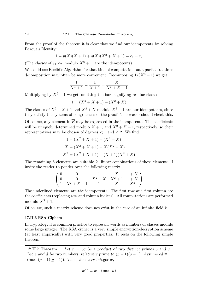From the proof of the theorem it is clear that we find our idempotents by solving Bézout's Identity:

$$
1 = p(X)(X+1) + q(X)(X2 + X + 1) = e1 + e2
$$

(The classes of  $e_1, e_2$ , modulo  $X^3 + 1$ , are the idempotents).

We could use Euclid's Algorithm for that kind of computation but a partial fractions decomposition may often be more convenient. Decomposing  $1/(X^3 + 1)$  we get

$$
\frac{1}{X^3+1} = \frac{1}{X+1} + \frac{X}{X^2+X+1}
$$

Multiplying by  $X^3 + 1$  we get, omitting the bars signifying residue classes

$$
1 = (X^2 + X + 1) + (X^2 + X)
$$

The classes of  $X^2 + X + 1$  and  $X^2 + X$  modulo  $X^3 + 1$  are our idempotents, since they satisfy the systems of congruences of the proof. The reader should check this.

Of course, any element in  $\overline{R}$  may be expressed in the idempotents. The coefficients will be uniquely determined modulo  $X + 1$ , and  $X^2 + X + 1$ , respectively, so their representatives may be chosen of degrees  $< 1$  and  $< 2$ . We find

$$
1 = (X2 + X + 1) + (X2 + X)
$$
  
\n
$$
X = (X2 + X + 1) + X(X2 + X)
$$
  
\n
$$
X2 = (X2 + X + 1) + (X + 1)(X2 + X)
$$

The remaining 5 elements are suitable k−linear combinations of these elements. I invite the reader to ponder over the following matrix

$$
\begin{pmatrix}\n0 & 0 & 1 & X & 1+X \\
0 & 0 & X^2+X & X^2+1 & 1+X \\
1 & X^2+X+1 & 1 & X & X^2\n\end{pmatrix}
$$

The underlined elements are the idempotents. The first row and first column are the coefficients (replacing row and column indices). All computations are performed modulo  $X^3 + 1$ .

Of course, such a matrix scheme does not exist in the case of an infinite field  $k$ .

#### 17.II.6 RSA Ciphers

In cryptology it is common practice to represent words as numbers or classes modulo some large integer. The RSA cipher is a very simple encryption-decryption scheme (at least empirically) with very good properties. It rests on the following simple theorem:

**17.II.7 Theorem.** . Let  $n = pq$  be a product of two distinct primes p and q. Let e and d be two numbers, relatively prime to  $(p-1)(q-1)$ . Assume  $ed \equiv 1$ (mod  $(p-1)(q-1)$ ). Then, for every integer w,

$$
w^{ed} \equiv w \pmod{n}
$$